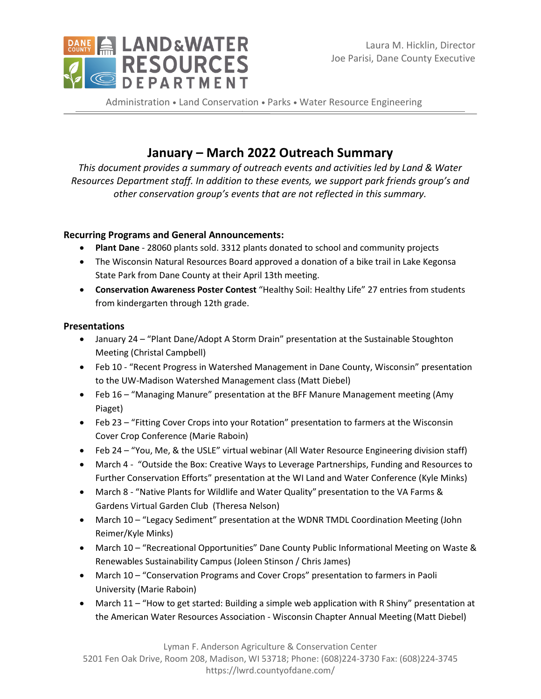

Administration . Land Conservation . Parks . Water Resource Engineering

# **January – March 2022 Outreach Summary**

*This document provides a summary of outreach events and activities led by Land & Water Resources Department staff. In addition to these events, we support park friends group's and other conservation group's events that are not reflected in this summary.*

# **Recurring Programs and General Announcements:**

- **Plant Dane** 28060 plants sold. 3312 plants donated to school and community projects
- The Wisconsin Natural Resources Board approved a donation of a bike trail in Lake Kegonsa State Park from Dane County at their April 13th meeting.
- **Conservation Awareness Poster Contest** "Healthy Soil: Healthy Life" 27 entries from students from kindergarten through 12th grade.

## **Presentations**

- January 24 "Plant Dane/Adopt A Storm Drain" presentation at the Sustainable Stoughton Meeting (Christal Campbell)
- Feb 10 "Recent Progress in Watershed Management in Dane County, Wisconsin" presentation to the UW-Madison Watershed Management class (Matt Diebel)
- Feb 16 "Managing Manure" presentation at the BFF Manure Management meeting (Amy Piaget)
- Feb 23 "Fitting Cover Crops into your Rotation" presentation to farmers at the Wisconsin Cover Crop Conference (Marie Raboin)
- Feb 24 "You, Me, & the USLE" virtual webinar (All Water Resource Engineering division staff)
- March 4 "Outside the Box: Creative Ways to Leverage Partnerships, Funding and Resources to Further Conservation Efforts" presentation at the WI Land and Water Conference (Kyle Minks)
- March 8 "Native Plants for Wildlife and Water Quality" presentation to the VA Farms & Gardens Virtual Garden Club (Theresa Nelson)
- March 10 "Legacy Sediment" presentation at the WDNR TMDL Coordination Meeting (John Reimer/Kyle Minks)
- March 10 "Recreational Opportunities" Dane County Public Informational Meeting on Waste & Renewables Sustainability Campus (Joleen Stinson / Chris James)
- March 10 "Conservation Programs and Cover Crops" presentation to farmers in Paoli University (Marie Raboin)
- March 11 "How to get started: Building a simple web application with R Shiny" presentation at the American Water Resources Association - Wisconsin Chapter Annual Meeting (Matt Diebel)

Lyman F. Anderson Agriculture & Conservation Center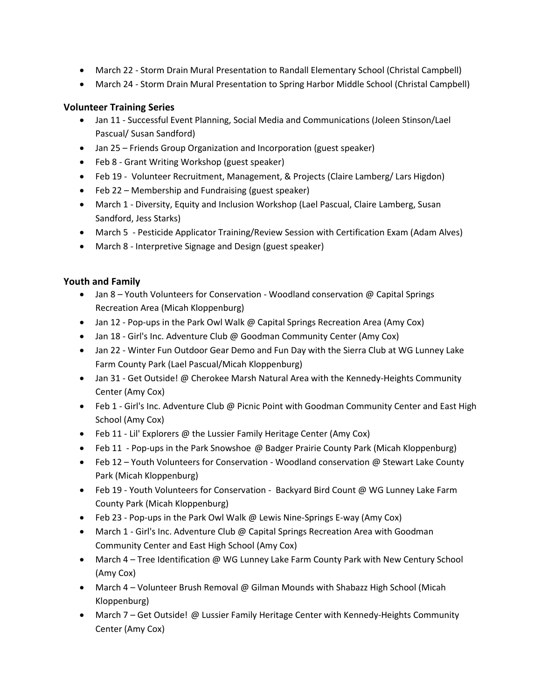- March 22 Storm Drain Mural Presentation to Randall Elementary School (Christal Campbell)
- March 24 Storm Drain Mural Presentation to Spring Harbor Middle School (Christal Campbell)

## **Volunteer Training Series**

- Jan 11 Successful Event Planning, Social Media and Communications (Joleen Stinson/Lael Pascual/ Susan Sandford)
- Jan 25 Friends Group Organization and Incorporation (guest speaker)
- Feb 8 Grant Writing Workshop (guest speaker)
- Feb 19 Volunteer Recruitment, Management, & Projects (Claire Lamberg/ Lars Higdon)
- Feb 22 Membership and Fundraising (guest speaker)
- March 1 Diversity, Equity and Inclusion Workshop (Lael Pascual, Claire Lamberg, Susan Sandford, Jess Starks)
- March 5 Pesticide Applicator Training/Review Session with Certification Exam (Adam Alves)
- March 8 Interpretive Signage and Design (guest speaker)

## **Youth and Family**

- Jan 8 Youth Volunteers for Conservation Woodland conservation @ Capital Springs Recreation Area (Micah Kloppenburg)
- Jan 12 Pop-ups in the Park Owl Walk @ Capital Springs Recreation Area (Amy Cox)
- Jan 18 Girl's Inc. Adventure Club @ Goodman Community Center (Amy Cox)
- Jan 22 Winter Fun Outdoor Gear Demo and Fun Day with the Sierra Club at WG Lunney Lake Farm County Park (Lael Pascual/Micah Kloppenburg)
- Jan 31 Get Outside! @ Cherokee Marsh Natural Area with the Kennedy-Heights Community Center (Amy Cox)
- Feb 1 Girl's Inc. Adventure Club @ Picnic Point with Goodman Community Center and East High School (Amy Cox)
- Feb 11 Lil' Explorers @ the Lussier Family Heritage Center (Amy Cox)
- Feb 11 Pop-ups in the Park Snowshoe @ Badger Prairie County Park (Micah Kloppenburg)
- Feb 12 Youth Volunteers for Conservation Woodland conservation @ Stewart Lake County Park (Micah Kloppenburg)
- Feb 19 Youth Volunteers for Conservation Backyard Bird Count @ WG Lunney Lake Farm County Park (Micah Kloppenburg)
- Feb 23 Pop-ups in the Park Owl Walk @ Lewis Nine-Springs E-way (Amy Cox)
- March 1 Girl's Inc. Adventure Club @ Capital Springs Recreation Area with Goodman Community Center and East High School (Amy Cox)
- March 4 Tree Identification @ WG Lunney Lake Farm County Park with New Century School (Amy Cox)
- March 4 Volunteer Brush Removal @ Gilman Mounds with Shabazz High School (Micah Kloppenburg)
- March 7 Get Outside! @ Lussier Family Heritage Center with Kennedy-Heights Community Center (Amy Cox)